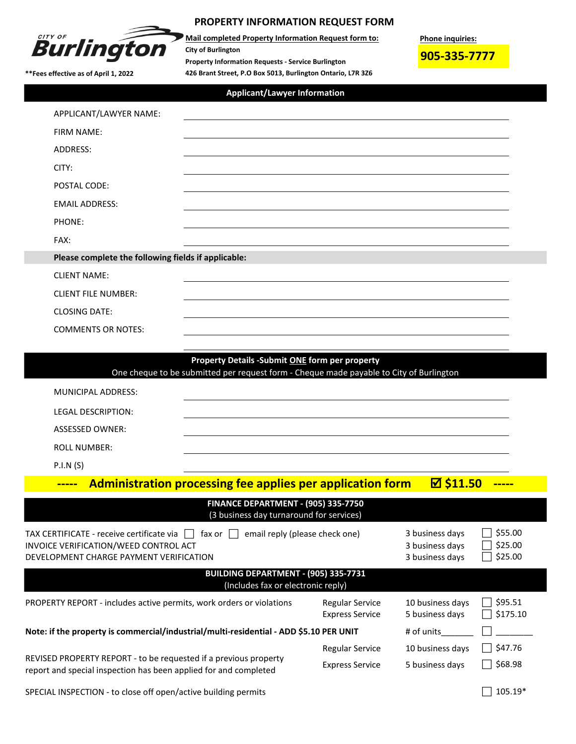

## **PROPERTY INFORMATION REQUEST FORM**

**426 Brant Street, P.O Box 5013, Burlington Ontario, L7R 3Z6 Mail completed Property Information Request form to: City of Burlington Property Information Requests - Service Burlington**

**Phone inquiries:**

**905-335-7777**

**\*\*Fees effective as of April 1, 2022** 

## **Applicant/Lawyer Information**

| APPLICANT/LAWYER NAME:                              | <u>and the contract of the contract of the contract of the contract of the contract of the contract of the contract of the contract of the contract of the contract of the contract of the contract of the contract of the contr</u> |  |  |  |  |
|-----------------------------------------------------|--------------------------------------------------------------------------------------------------------------------------------------------------------------------------------------------------------------------------------------|--|--|--|--|
| <b>FIRM NAME:</b>                                   |                                                                                                                                                                                                                                      |  |  |  |  |
| ADDRESS:                                            | ,我们也不会有什么。""我们的人,我们也不会有什么?""我们的人,我们也不会有什么?""我们的人,我们也不会有什么?""我们的人,我们也不会有什么?""我们的人                                                                                                                                                     |  |  |  |  |
| CITY:                                               |                                                                                                                                                                                                                                      |  |  |  |  |
| POSTAL CODE:                                        |                                                                                                                                                                                                                                      |  |  |  |  |
| <b>EMAIL ADDRESS:</b>                               | ,我们也不会有什么。""我们的人,我们也不会有什么?""我们的人,我们也不会有什么?""我们的人,我们也不会有什么?""我们的人,我们也不会有什么?""我们的人                                                                                                                                                     |  |  |  |  |
| PHONE:                                              | <u> 1989 - Johann Stoff, deutscher Stoffen und der Stoffen und der Stoffen und der Stoffen und der Stoffen und de</u>                                                                                                                |  |  |  |  |
| FAX:                                                | <u> 1980 - Johann Stoff, fransk politik (f. 1980)</u>                                                                                                                                                                                |  |  |  |  |
| Please complete the following fields if applicable: |                                                                                                                                                                                                                                      |  |  |  |  |
| <b>CLIENT NAME:</b>                                 |                                                                                                                                                                                                                                      |  |  |  |  |
| <b>CLIENT FILE NUMBER:</b>                          | ,我们也不会有什么。""我们的人,我们也不会有什么?""我们的人,我们也不会有什么?""我们的人,我们也不会有什么?""我们的人,我们也不会有什么?""我们的人                                                                                                                                                     |  |  |  |  |
| <b>CLOSING DATE:</b>                                | ,我们也不会有什么。""我们的人,我们也不会有什么?""我们的人,我们也不会有什么?""我们的人,我们也不会有什么?""我们的人,我们也不会有什么?""我们的人                                                                                                                                                     |  |  |  |  |
| <b>COMMENTS OR NOTES:</b>                           |                                                                                                                                                                                                                                      |  |  |  |  |
|                                                     |                                                                                                                                                                                                                                      |  |  |  |  |
|                                                     | Property Details -Submit ONE form per property<br>One cheque to be submitted per request form - Cheque made payable to City of Burlington                                                                                            |  |  |  |  |

| MUNICIPAL ADDRESS:        |  |
|---------------------------|--|
| <b>LEGAL DESCRIPTION:</b> |  |
| ASSESSED OWNER:           |  |
| <b>ROLL NUMBER:</b>       |  |
| P.I.N(S)                  |  |

## **-----** Administration processing fee applies per application form **△ \$11.50** -----

| <b>FINANCE DEPARTMENT - (905) 335-7750</b><br>(3 business day turnaround for services)                                                                                          |                                                       |                                     |                     |  |  |  |  |
|---------------------------------------------------------------------------------------------------------------------------------------------------------------------------------|-------------------------------------------------------|-------------------------------------|---------------------|--|--|--|--|
| TAX CERTIFICATE - receive certificate via    <br>email reply (please check one)<br>fax or l<br>INVOICE VERIFICATION/WEED CONTROL ACT<br>DEVELOPMENT CHARGE PAYMENT VERIFICATION | 3 business days<br>3 business days<br>3 business days | \$55.00<br>\$25.00<br>\$25.00       |                     |  |  |  |  |
| BUILDING DEPARTMENT - (905) 335-7731<br>(Includes fax or electronic reply)                                                                                                      |                                                       |                                     |                     |  |  |  |  |
| PROPERTY REPORT - includes active permits, work orders or violations                                                                                                            | <b>Regular Service</b><br><b>Express Service</b>      | 10 business days<br>5 business days | \$95.51<br>\$175.10 |  |  |  |  |
| Note: if the property is commercial/industrial/multi-residential - ADD \$5.10 PER UNIT                                                                                          |                                                       | # of units                          |                     |  |  |  |  |
| REVISED PROPERTY REPORT - to be requested if a previous property<br>report and special inspection has been applied for and completed                                            | <b>Regular Service</b><br><b>Express Service</b>      | 10 business days<br>5 business days | \$47.76<br>\$68.98  |  |  |  |  |

SPECIAL INSPECTION - to close off open/active building permits